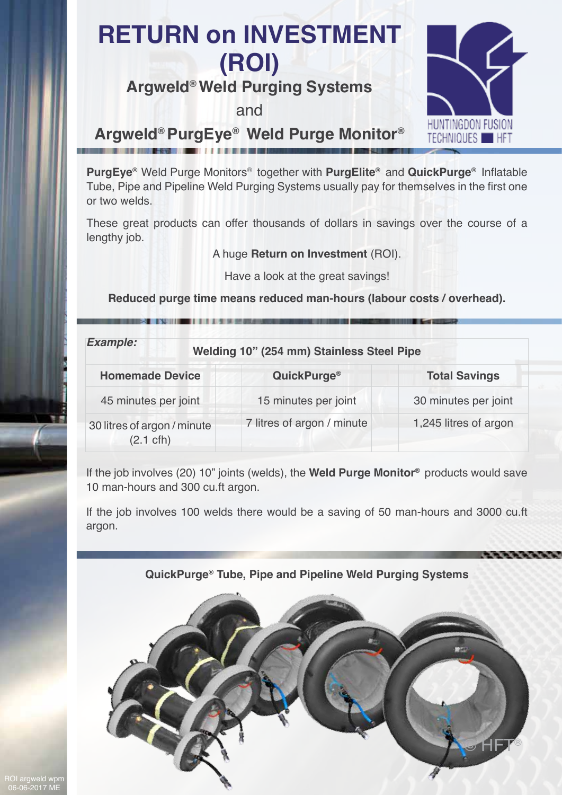# **RETURN on INVESTMENT (ROI)**

## **Argweld® Weld Purging Systems**

and



### **Argweld® PurgEye® Weld Purge Monitor®**

**PurgEye®** Weld Purge Monitors® together with **PurgElite®** and **QuickPurge®** Inflatable Tube, Pipe and Pipeline Weld Purging Systems usually pay for themselves in the first one or two welds.

These great products can offer thousands of dollars in savings over the course of a lengthy job.

A huge **Return on Investment** (ROI).

Have a look at the great savings!

**Reduced purge time means reduced man-hours (labour costs / overhead).**

| <b>Example:</b><br>Welding 10" (254 mm) Stainless Steel Pipe |                            |                       |
|--------------------------------------------------------------|----------------------------|-----------------------|
| <b>Homemade Device</b>                                       | QuickPurge <sup>®</sup>    | <b>Total Savings</b>  |
| 45 minutes per joint                                         | 15 minutes per joint       | 30 minutes per joint  |
| 30 litres of argon / minute<br>$(2.1 \text{ cfh})$           | 7 litres of argon / minute | 1,245 litres of argon |

If the job involves (20) 10" joints (welds), the **Weld Purge Monitor®** products would save 10 man-hours and 300 cu.ft argon.

If the job involves 100 welds there would be a saving of 50 man-hours and 3000 cu.ft argon.

### **QuickPurge® Tube, Pipe and Pipeline Weld Purging Systems**